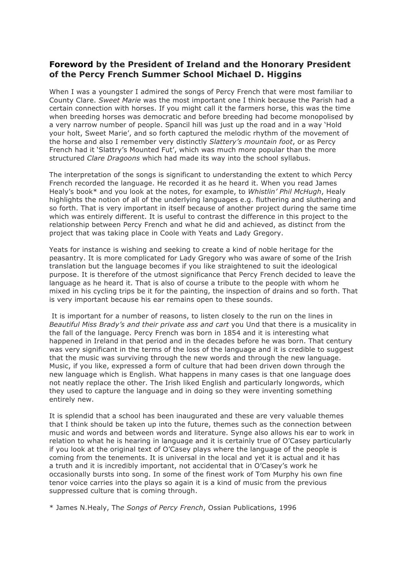## **Foreword by the President of Ireland and the Honorary President of the Percy French Summer School Michael D. Higgins**

When I was a youngster I admired the songs of Percy French that were most familiar to County Clare. *Sweet Marie* was the most important one I think because the Parish had a certain connection with horses. If you might call it the farmers horse, this was the time when breeding horses was democratic and before breeding had become monopolised by a very narrow number of people. Spancil hill was just up the road and in a way 'Hold your holt, Sweet Marie', and so forth captured the melodic rhythm of the movement of the horse and also I remember very distinctly *Slattery's mountain foot*, or as Percy French had it 'Slattry's Mounted Fut', which was much more popular than the more structured *Clare Dragoons* which had made its way into the school syllabus.

The interpretation of the songs is significant to understanding the extent to which Percy French recorded the language. He recorded it as he heard it. When you read James Healy's book\* and you look at the notes, for example, to *Whistlin' Phil McHugh*, Healy highlights the notion of all of the underlying languages e.g. fluthering and sluthering and so forth. That is very important in itself because of another project during the same time which was entirely different. It is useful to contrast the difference in this project to the relationship between Percy French and what he did and achieved, as distinct from the project that was taking place in Coole with Yeats and Lady Gregory.

Yeats for instance is wishing and seeking to create a kind of noble heritage for the peasantry. It is more complicated for Lady Gregory who was aware of some of the Irish translation but the language becomes if you like straightened to suit the ideological purpose. It is therefore of the utmost significance that Percy French decided to leave the language as he heard it. That is also of course a tribute to the people with whom he mixed in his cycling trips be it for the painting, the inspection of drains and so forth. That is very important because his ear remains open to these sounds.

 It is important for a number of reasons, to listen closely to the run on the lines in *Beautiful Miss Brady's and their private ass and cart* you Und that there is a musicality in the fall of the language. Percy French was born in 1854 and it is interesting what happened in Ireland in that period and in the decades before he was born. That century was very significant in the terms of the loss of the language and it is credible to suggest that the music was surviving through the new words and through the new language. Music, if you like, expressed a form of culture that had been driven down through the new language which is English. What happens in many cases is that one language does not neatly replace the other. The Irish liked English and particularly longwords, which they used to capture the language and in doing so they were inventing something entirely new.

It is splendid that a school has been inaugurated and these are very valuable themes that I think should be taken up into the future, themes such as the connection between music and words and between words and literature. Synge also allows his ear to work in relation to what he is hearing in language and it is certainly true of O'Casey particularly if you look at the original text of O'Casey plays where the language of the people is coming from the tenements. It is universal in the local and yet it is actual and it has a truth and it is incredibly important, not accidental that in O'Casey's work he occasionally bursts into song. In some of the finest work of Tom Murphy his own fine tenor voice carries into the plays so again it is a kind of music from the previous suppressed culture that is coming through.

\* James N.Healy, Th*e Songs of Percy French*, Ossian Publications, 1996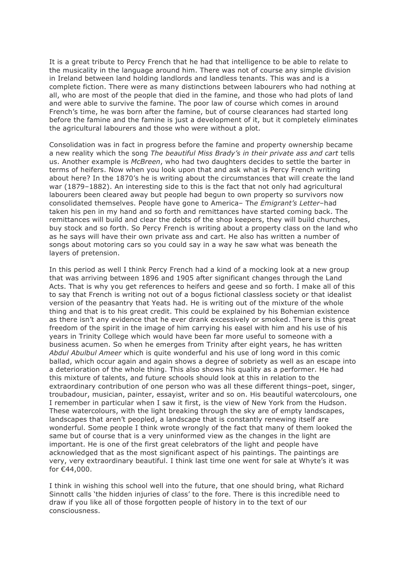It is a great tribute to Percy French that he had that intelligence to be able to relate to the musicality in the language around him. There was not of course any simple division in Ireland between land holding landlords and landless tenants. This was and is a complete fiction. There were as many distinctions between labourers who had nothing at all, who are most of the people that died in the famine, and those who had plots of land and were able to survive the famine. The poor law of course which comes in around French's time, he was born after the famine, but of course clearances had started long before the famine and the famine is just a development of it, but it completely eliminates the agricultural labourers and those who were without a plot.

Consolidation was in fact in progress before the famine and property ownership became a new reality which the song *The beautiful Miss Brady's in their private ass and cart* tells us. Another example is *McBreen*, who had two daughters decides to settle the barter in terms of heifers. Now when you look upon that and ask what is Percy French writing about here? In the 1870's he is writing about the circumstances that will create the land war (1879–1882). An interesting side to this is the fact that not only had agricultural labourers been cleared away but people had begun to own property so survivors now consolidated themselves. People have gone to America– Th*e Emigrant's Letter*–had taken his pen in my hand and so forth and remittances have started coming back. The remittances will build and clear the debts of the shop keepers, they will build churches, buy stock and so forth. So Percy French is writing about a property class on the land who as he says will have their own private ass and cart. He also has written a number of songs about motoring cars so you could say in a way he saw what was beneath the layers of pretension.

In this period as well I think Percy French had a kind of a mocking look at a new group that was arriving between 1896 and 1905 after significant changes through the Land Acts. That is why you get references to heifers and geese and so forth. I make all of this to say that French is writing not out of a bogus fictional classless society or that idealist version of the peasantry that Yeats had. He is writing out of the mixture of the whole thing and that is to his great credit. This could be explained by his Bohemian existence as there isn't any evidence that he ever drank excessively or smoked. There is this great freedom of the spirit in the image of him carrying his easel with him and his use of his years in Trinity College which would have been far more useful to someone with a business acumen. So when he emerges from Trinity after eight years, he has written *Abdul Abulbul Ameer* which is quite wonderful and his use of long word in this comic ballad, which occur again and again shows a degree of sobriety as well as an escape into a deterioration of the whole thing. This also shows his quality as a performer. He had this mixture of talents, and future schools should look at this in relation to the extraordinary contribution of one person who was all these different things–poet, singer, troubadour, musician, painter, essayist, writer and so on. His beautiful watercolours, one I remember in particular when I saw it first, is the view of New York from the Hudson. These watercolours, with the light breaking through the sky are of empty landscapes, landscapes that aren't peopled, a landscape that is constantly renewing itself are wonderful. Some people I think wrote wrongly of the fact that many of them looked the same but of course that is a very uninformed view as the changes in the light are important. He is one of the first great celebrators of the light and people have acknowledged that as the most significant aspect of his paintings. The paintings are very, very extraordinary beautiful. I think last time one went for sale at Whyte's it was for €44,000.

I think in wishing this school well into the future, that one should bring, what Richard Sinnott calls 'the hidden injuries of class' to the fore. There is this incredible need to draw if you like all of those forgotten people of history in to the text of our consciousness.